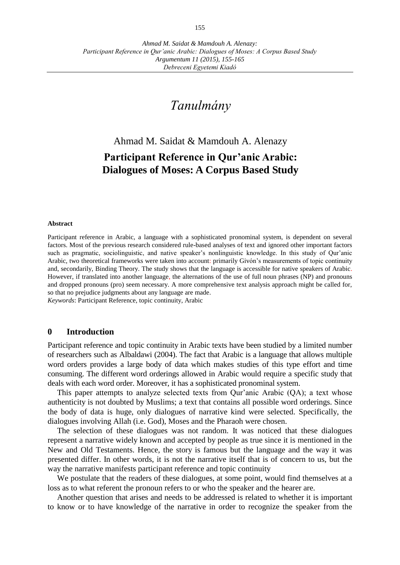# *Tanulmány*

# Ahmad M. Saidat & Mamdouh A. Alenazy **Participant Reference in Qur'anic Arabic: Dialogues of Moses: A Corpus Based Study**

# **Abstract**

Participant reference in Arabic, a language with a sophisticated pronominal system, is dependent on several factors. Most of the previous research considered rule-based analyses of text and ignored other important factors such as pragmatic, sociolinguistic, and native speaker's nonlinguistic knowledge. In this study of Qur'anic Arabic, two theoretical frameworks were taken into account: primarily Givόn's measurements of topic continuity and, secondarily, Binding Theory. The study shows that the language is accessible for native speakers of Arabic. However, if translated into another language, the alternations of the use of full noun phrases (NP) and pronouns and dropped pronouns (pro) seem necessary. A more comprehensive text analysis approach might be called for, so that no prejudice judgments about any language are made.

*Keywords*: Participant Reference, topic continuity, Arabic

### **0 Introduction**

Participant reference and topic continuity in Arabic texts have been studied by a limited number of researchers such as Albaldawi (2004). The fact that Arabic is a language that allows multiple word orders provides a large body of data which makes studies of this type effort and time consuming. The different word orderings allowed in Arabic would require a specific study that deals with each word order. Moreover, it has a sophisticated pronominal system.

This paper attempts to analyze selected texts from Qur'anic Arabic (QA); a text whose authenticity is not doubted by Muslims; a text that contains all possible word orderings. Since the body of data is huge, only dialogues of narrative kind were selected. Specifically, the dialogues involving Allah (i.e. God), Moses and the Pharaoh were chosen.

The selection of these dialogues was not random. It was noticed that these dialogues represent a narrative widely known and accepted by people as true since it is mentioned in the New and Old Testaments. Hence, the story is famous but the language and the way it was presented differ. In other words, it is not the narrative itself that is of concern to us, but the way the narrative manifests participant reference and topic continuity

We postulate that the readers of these dialogues, at some point, would find themselves at a loss as to what referent the pronoun refers to or who the speaker and the hearer are.

Another question that arises and needs to be addressed is related to whether it is important to know or to have knowledge of the narrative in order to recognize the speaker from the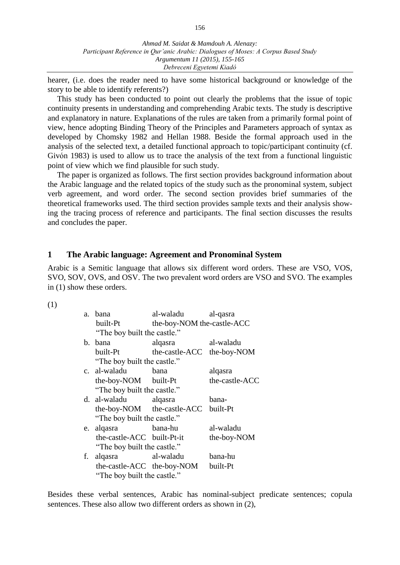*Ahmad M. Saidat & Mamdouh A. Alenazy: Participant Reference in Qur'anic Arabic: Dialogues of Moses: A Corpus Based Study Argumentum 11 (2015), 155-165 Debreceni Egyetemi Kiadó*

hearer, (i.e. does the reader need to have some historical background or knowledge of the story to be able to identify referents?)

This study has been conducted to point out clearly the problems that the issue of topic continuity presents in understanding and comprehending Arabic texts. The study is descriptive and explanatory in nature. Explanations of the rules are taken from a primarily formal point of view, hence adopting Binding Theory of the Principles and Parameters approach of syntax as developed by Chomsky 1982 and Hellan 1988. Beside the formal approach used in the analysis of the selected text, a detailed functional approach to topic/participant continuity (cf. Givόn 1983) is used to allow us to trace the analysis of the text from a functional linguistic point of view which we find plausible for such study.

The paper is organized as follows. The first section provides background information about the Arabic language and the related topics of the study such as the pronominal system, subject verb agreement, and word order. The second section provides brief summaries of the theoretical frameworks used. The third section provides sample texts and their analysis showing the tracing process of reference and participants. The final section discusses the results and concludes the paper.

## **1 The Arabic language: Agreement and Pronominal System**

Arabic is a Semitic language that allows six different word orders. These are VSO, VOS, SVO, SOV, OVS, and OSV. The two prevalent word orders are VSO and SVO. The examples in (1) show these orders.

(1)

| a. | hana                        | al-waladu                  | al-qasra       |  |  |  |  |
|----|-----------------------------|----------------------------|----------------|--|--|--|--|
|    | built-Pt                    | the-boy-NOM the-castle-ACC |                |  |  |  |  |
|    | "The boy built the castle." |                            |                |  |  |  |  |
|    | b. bana                     | alqasra                    | al-waladu      |  |  |  |  |
|    | built-Pt                    | the-castle-ACC the-boy-NOM |                |  |  |  |  |
|    | "The boy built the castle." |                            |                |  |  |  |  |
|    | c. al-waladu bana           |                            | alqasra        |  |  |  |  |
|    | the-boy-NOM built-Pt        |                            | the-castle-ACC |  |  |  |  |
|    | "The boy built the castle." |                            |                |  |  |  |  |
|    | d. al-waladu alqasra        |                            | bana-          |  |  |  |  |
|    |                             | the-boy-NOM the-castle-ACC | built-Pt       |  |  |  |  |
|    | "The boy built the castle." |                            |                |  |  |  |  |
| e. | alqasra                     | bana-hu                    | al-waladu      |  |  |  |  |
|    | the-castle-ACC built-Pt-it  |                            | the-boy-NOM    |  |  |  |  |
|    | "The boy built the castle." |                            |                |  |  |  |  |
| f. | alqasra                     | al-waladu                  | bana-hu        |  |  |  |  |
|    |                             | the-castle-ACC the-boy-NOM | built-Pt       |  |  |  |  |
|    | "The boy built the castle." |                            |                |  |  |  |  |

Besides these verbal sentences, Arabic has nominal-subject predicate sentences; copula sentences. These also allow two different orders as shown in (2),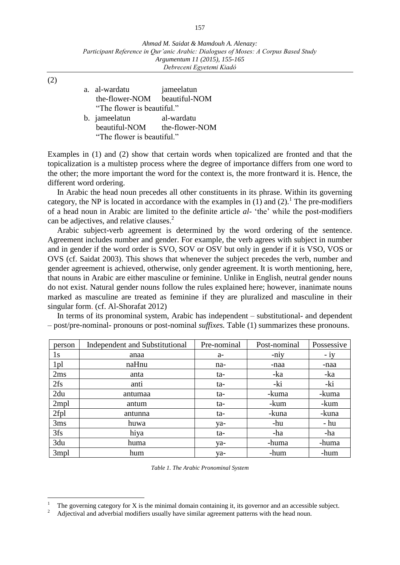(2)

 $\overline{a}$ 

a. al-wardatu jameelatun the-flower-NOM beautiful-NOM "The flower is beautiful." b. jameelatun al-wardatu beautiful-NOM the-flower-NOM "The flower is beautiful."

Examples in (1) and (2) show that certain words when topicalized are fronted and that the topicalization is a multistep process where the degree of importance differs from one word to the other; the more important the word for the context is, the more frontward it is. Hence, the different word ordering.

In Arabic the head noun precedes all other constituents in its phrase. Within its governing category, the NP is located in accordance with the examples in  $(1)$  and  $(2)$ .<sup>1</sup> The pre-modifiers of a head noun in Arabic are limited to the definite article *al-* 'the' while the post-modifiers can be adjectives, and relative clauses.<sup>2</sup>

Arabic subject-verb agreement is determined by the word ordering of the sentence. Agreement includes number and gender. For example, the verb agrees with subject in number and in gender if the word order is SVO, SOV or OSV but only in gender if it is VSO, VOS or OVS (cf. Saidat 2003). This shows that whenever the subject precedes the verb, number and gender agreement is achieved, otherwise, only gender agreement. It is worth mentioning, here, that nouns in Arabic are either masculine or feminine. Unlike in English, neutral gender nouns do not exist. Natural gender nouns follow the rules explained here; however, inanimate nouns marked as masculine are treated as feminine if they are pluralized and masculine in their singular form. (cf. Al-Shorafat 2012)

In terms of its pronominal system, Arabic has independent – substitutional- and dependent – post/pre-nominal- pronouns or post-nominal *suffixes.* Table (1) summarizes these pronouns.

| person           | <b>Independent and Substitutional</b> | Pre-nominal | Post-nominal | Possessive |
|------------------|---------------------------------------|-------------|--------------|------------|
| 1s               | anaa                                  | $a-$        | -niy         | $-1y$      |
| 1 <sub>pl</sub>  | naHnu                                 | na-         | -naa         | -naa       |
| 2ms              | anta                                  | ta-         | -ka          | -ka        |
| 2fs              | anti                                  | ta-         | -ki          | -ki        |
| 2du              | antumaa                               | ta-         | -kuma        | -kuma      |
| 2mpl             | antum                                 | ta-         | -kum         | -kum       |
| 2fpl             | antunna                               | ta-         | -kuna        | -kuna      |
| 3ms              | huwa                                  | ya-         | -hu          | - hu       |
| 3fs              | hiya                                  | ta-         | -ha          | -ha        |
| 3du              | huma                                  | ya-         | -huma        | -huma      |
| 3 <sub>mpl</sub> | hum                                   | ya-         | -hum         | -hum       |

*Table 1. The Arabic Pronominal System*

<sup>1</sup> The governing category for X is the minimal domain containing it, its governor and an accessible subject.

<sup>2</sup> Adjectival and adverbial modifiers usually have similar agreement patterns with the head noun.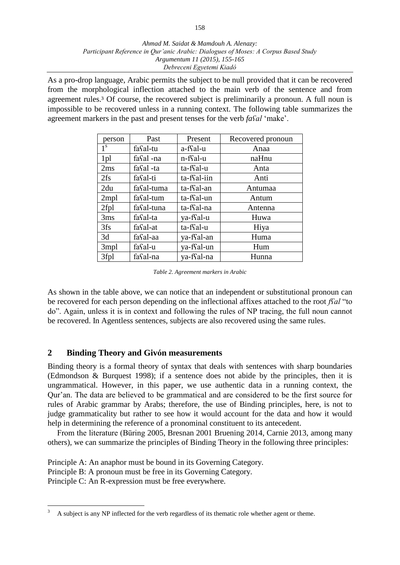### *Ahmad M. Saidat & Mamdouh A. Alenazy: Participant Reference in Qur'anic Arabic: Dialogues of Moses: A Corpus Based Study Argumentum 11 (2015), 155-165 Debreceni Egyetemi Kiadó*

As a pro-drop language, Arabic permits the subject to be null provided that it can be recovered from the morphological inflection attached to the main verb of the sentence and from agreement rules.<sup>3</sup> Of course, the recovered subject is preliminarily a pronoun. A full noun is impossible to be recovered unless in a running context. The following table summarizes the agreement markers in the past and present tenses for the verb *faʕal* 'make'.

| person           | Past       | Present                 | Recovered pronoun |
|------------------|------------|-------------------------|-------------------|
| 1 <sup>s</sup>   | fasal-tu   | a-ffal-u                | Anaa              |
| 1pl              | fasal -na  | n-ffal-u                | naHnu             |
| 2ms              | fasal-ta   | ta-ffal-u               | Anta              |
| 2fs              | fasal-ti   | ta-ffal-iin             | Anti              |
| 2du              | fasal-tuma | ta-f <sup>s</sup> al-an | Antumaa           |
| 2 <sub>mpl</sub> | fasal-tum  | ta-f <sup>c</sup> al-un | Antum             |
| 2fpl             | fasal-tuna | ta-f <sup>c</sup> al-na | Antenna           |
| 3ms              | fasal-ta   | ya-ffal-u               | Huwa              |
| 3fs              | fasal-at   | ta-ffal-u               | Hiya              |
| 3d               | fasal-aa   | ya-f <sup>c</sup> al-an | Huma              |
| 3 <sub>mpl</sub> | fasal-u    | ya-ffal-un              | Hum               |
| 3fpl             | fasal-na   | ya-ffal-na              | Hunna             |

*Table 2. Agreement markers in Arabic*

As shown in the table above, we can notice that an independent or substitutional pronoun can be recovered for each person depending on the inflectional affixes attached to the root *fʕal* "to do". Again, unless it is in context and following the rules of NP tracing, the full noun cannot be recovered. In Agentless sentences, subjects are also recovered using the same rules.

# **2 Binding Theory and Givόn measurements**

Binding theory is a formal theory of syntax that deals with sentences with sharp boundaries (Edmondson & Burquest 1998); if a sentence does not abide by the principles, then it is ungrammatical. However, in this paper, we use authentic data in a running context, the Qur'an. The data are believed to be grammatical and are considered to be the first source for rules of Arabic grammar by Arabs; therefore, the use of Binding principles, here, is not to judge grammaticality but rather to see how it would account for the data and how it would help in determining the reference of a pronominal constituent to its antecedent.

From the literature (Büring 2005, Bresnan 2001 Bruening 2014, Carnie 2013, among many others), we can summarize the principles of Binding Theory in the following three principles:

Principle A: An anaphor must be bound in its Governing Category. Principle B: A pronoun must be free in its Governing Category. Principle C: An R-expression must be free everywhere.

 $\overline{a}$ <sup>3</sup> A subject is any NP inflected for the verb regardless of its thematic role whether agent or theme.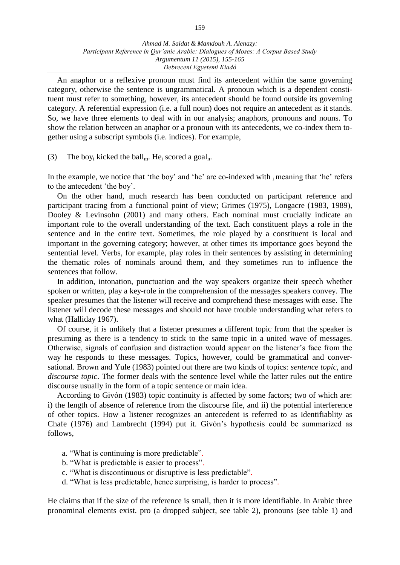An anaphor or a reflexive pronoun must find its antecedent within the same governing category, otherwise the sentence is ungrammatical. A pronoun which is a dependent constituent must refer to something, however, its antecedent should be found outside its governing category. A referential expression (i.e. a full noun) does not require an antecedent as it stands. So, we have three elements to deal with in our analysis; anaphors, pronouns and nouns. To show the relation between an anaphor or a pronoun with its antecedents, we co-index them together using a subscript symbols (i.e. indices). For example,

(3) The boy<sub>i</sub> kicked the ball<sub>m</sub>. He<sub>i</sub> scored a goal<sub>n</sub>.

In the example, we notice that 'the boy' and 'he' are co-indexed with  $\mu$  meaning that 'he' refers to the antecedent 'the boy'.

On the other hand, much research has been conducted on participant reference and participant tracing from a functional point of view; Grimes (1975), Longacre (1983, 1989), Dooley & Levinsohn (2001) and many others. Each nominal must crucially indicate an important role to the overall understanding of the text. Each constituent plays a role in the sentence and in the entire text. Sometimes, the role played by a constituent is local and important in the governing category; however, at other times its importance goes beyond the sentential level. Verbs, for example, play roles in their sentences by assisting in determining the thematic roles of nominals around them, and they sometimes run to influence the sentences that follow.

In addition, intonation, punctuation and the way speakers organize their speech whether spoken or written, play a key-role in the comprehension of the messages speakers convey. The speaker presumes that the listener will receive and comprehend these messages with ease. The listener will decode these messages and should not have trouble understanding what refers to what (Halliday 1967).

Of course, it is unlikely that a listener presumes a different topic from that the speaker is presuming as there is a tendency to stick to the same topic in a united wave of messages. Otherwise, signals of confusion and distraction would appear on the listener's face from the way he responds to these messages. Topics, however, could be grammatical and conversational. Brown and Yule (1983) pointed out there are two kinds of topics: *sentence topic*, and *discourse topic*. The former deals with the sentence level while the latter rules out the entire discourse usually in the form of a topic sentence or main idea.

According to Givόn (1983) topic continuity is affected by some factors; two of which are: i) the length of absence of reference from the discourse file, and ii) the potential interference of other topics. How a listener recognizes an antecedent is referred to as Identifiablit*y* as Chafe (1976) and Lambrecht (1994) put it. Givόn's hypothesis could be summarized as follows,

- a. "What is continuing is more predictable".
- b. "What is predictable is easier to process".
- c. "What is discontinuous or disruptive is less predictable".
- d. "What is less predictable, hence surprising, is harder to process".

He claims that if the size of the reference is small, then it is more identifiable. In Arabic three pronominal elements exist. pro (a dropped subject, see table 2), pronouns (see table 1) and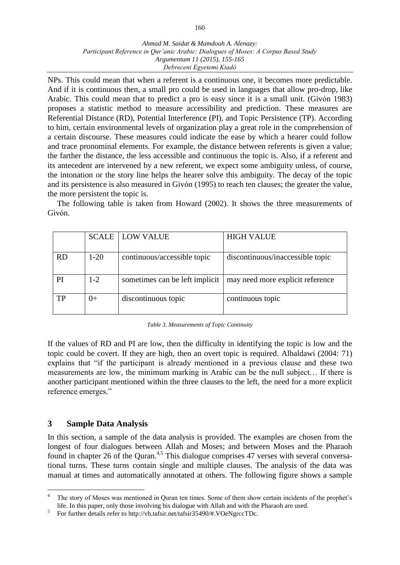### *Ahmad M. Saidat & Mamdouh A. Alenazy: Participant Reference in Qur'anic Arabic: Dialogues of Moses: A Corpus Based Study Argumentum 11 (2015), 155-165 Debreceni Egyetemi Kiadó*

NPs. This could mean that when a referent is a continuous one, it becomes more predictable. And if it is continuous then, a small pro could be used in languages that allow pro-drop, like Arabic. This could mean that to predict a pro is easy since it is a small unit. (Givόn 1983) proposes a statistic method to measure accessibility and prediction. These measures are Referential Distance (RD), Potential Interference (PI), and Topic Persistence (TP). According to him, certain environmental levels of organization play a great role in the comprehension of a certain discourse. These measures could indicate the ease by which a hearer could follow and trace pronominal elements. For example, the distance between referents is given a value; the farther the distance, the less accessible and continuous the topic is. Also, if a referent and its antecedent are intervened by a new referent, we expect some ambiguity unless, of course, the intonation or the story line helps the hearer solve this ambiguity. The decay of the topic and its persistence is also measured in Givόn (1995) to reach ten clauses; the greater the value, the more persistent the topic is.

The following table is taken from Howard (2002). It shows the three measurements of Givόn.

|           |          | <b>SCALE   LOW VALUE</b>        | <b>HIGH VALUE</b>                |
|-----------|----------|---------------------------------|----------------------------------|
| <b>RD</b> | $1 - 20$ | continuous/accessible topic     | discontinuous/inaccessible topic |
| PI        | $1 - 2$  | sometimes can be left implicit. | may need more explicit reference |
| TP        | $() +$   | discontinuous topic             | continuous topic                 |

| Table 3. Measurements of Topic Continuity |  |  |
|-------------------------------------------|--|--|
|-------------------------------------------|--|--|

If the values of RD and PI are low, then the difficulty in identifying the topic is low and the topic could be covert. If they are high, then an overt topic is required. Albaldawi (2004: 71) explains that "if the participant is already mentioned in a previous clause and these two measurements are low, the minimum marking in Arabic can be the null subject… If there is another participant mentioned within the three clauses to the left, the need for a more explicit reference emerges."

# **3 Sample Data Analysis**

 $\overline{a}$ 

In this section, a sample of the data analysis is provided. The examples are chosen from the longest of four dialogues between Allah and Moses; and between Moses and the Pharaoh found in chapter 26 of the Quran.<sup>4,5</sup> This dialogue comprises 47 verses with several conversational turns. These turns contain single and multiple clauses. The analysis of the data was manual at times and automatically annotated at others. The following figure shows a sample

5 For further details refer to http://vb.tafsir.net/tafsir35490/#.VOeNgrccTDc.

<sup>4</sup> The story of Moses was mentioned in Quran ten times. Some of them show certain incidents of the prophet's life. In this paper, only those involving his dialogue with Allah and with the Pharaoh are used.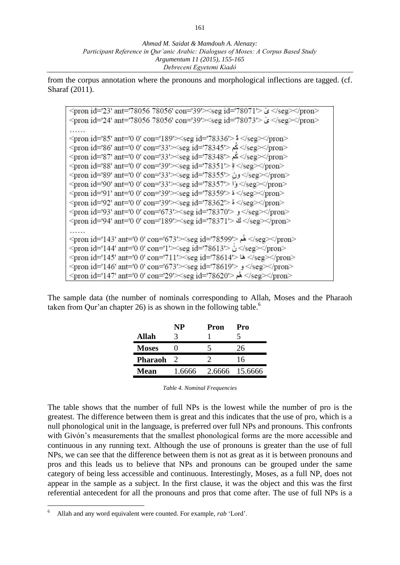from the corpus annotation where the pronouns and morphological inflections are tagged. (cf. Sharaf (2011).

<pron id='23' ant='78056 78056' con='39'><seg id='78071'>  $\frac{1}{2}$  </seg></pron> <pron id='24' ant='78056 78056' con='39'><seg id='78073'>  $\leq$  </seg></pron> . . . . . . <pron id='85' ant='0 0' con='189'><seg id='78336'>  $\frac{1}{2}$  </seg></pron> </reg></pron id='86' ant='0 0' con='33'><seg id='78345'> كم </seg></pron> </reg></pron id='87' ant='0 0' con='33'><seg id='78348'> كم </seg></pron> <pron id='88' ant='0 0' con='39'><seg id='78351'>  $\frac{1}{2}$  </seg></pron> <pron id='89' ant='0 0' con='33'><seg id='78355'> (yseg></pron> </ree>//pron></ree></ree></ree></ree></ree></ree></ree></ree></ree></ree></ree></ree>  $\epsilon$  <pron id='91' ant='0 0' con='39'> $\epsilon$ seg id='78359'>  $\epsilon$  </seg> $\epsilon$ /pron>  $\gamma$  <pron id='92' ant='0 0' con='39' $\ge$ seg id='78362' $>$  \$ $\le$ /seg $\ge$  $\le$ /pron $>$ <pron id='93' ant='0 0' con='673'><seg id='78370'>  $\frac{1}{2}$  </seg></pron> <pron id='94' ant='0 0' con='189' > <seg id='78371' >  $\triangleq$  </seg> </pron>  $\cdots$ <pron id='143' ant='0 0' con='673'><seg id='78599'> </seg></pron> <pron id='144' ant='0 0' con='1'><seg id='78613'>  $\frac{3}{2}$  </seg></pron> <pron id='145' ant='0 0' con='711'><seg id='78614'> 45 </seg></pron> <pron id='146' ant='0 0' con='673'><seg id='78619'>  $\frac{1}{2}$ </seg></pron> </reg></pron id='147' ant='0 0' con='29'><seg id='78620'> هُم</seg></pron>

The sample data (the number of nominals corresponding to Allah, Moses and the Pharaoh taken from Qur'an chapter 26) is as shown in the following table.<sup>6</sup>

|                | <b>NP</b> | Pron | Pro            |  |
|----------------|-----------|------|----------------|--|
| <b>Allah</b>   |           |      |                |  |
| <b>Moses</b>   |           |      | 26             |  |
| <b>Pharaoh</b> |           |      | 16             |  |
| Mean           | 1.6666    |      | 2.6666 15.6666 |  |

*Table 4. Nominal Frequencies*

The table shows that the number of full NPs is the lowest while the number of pro is the greatest. The difference between them is great and this indicates that the use of pro, which is a null phonological unit in the language, is preferred over full NPs and pronouns. This confronts with Givόn's measurements that the smallest phonological forms are the more accessible and continuous in any running text. Although the use of pronouns is greater than the use of full NPs, we can see that the difference between them is not as great as it is between pronouns and pros and this leads us to believe that NPs and pronouns can be grouped under the same category of being less accessible and continuous. Interestingly, Moses, as a full NP, does not appear in the sample as a subject. In the first clause, it was the object and this was the first referential antecedent for all the pronouns and pros that come after. The use of full NPs is a

 $\overline{a}$ 

<sup>6</sup> Allah and any word equivalent were counted. For example, *rab* 'Lord'.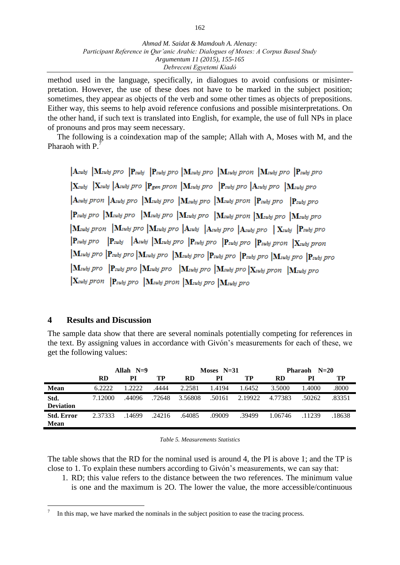method used in the language, specifically, in dialogues to avoid confusions or misinterpretation. However, the use of these does not have to be marked in the subject position; sometimes, they appear as objects of the verb and some other times as objects of prepositions. Either way, this seems to help avoid reference confusions and possible misinterpretations. On the other hand, if such text is translated into English, for example, the use of full NPs in place of pronouns and pros may seem necessary.

The following is a coindexation map of the sample; Allah with A, Moses with M, and the Pharaoh with P.<sup>7</sup>

 $\begin{array}{|l|l|}\nA \n \end{array}$  Msubj pro  $\begin{array}{|l|l|}\nP \n \end{array}$   $\begin{array}{|l|l|}\nP \n \end{array}$  Psubj pro  $\begin{array}{|l|l|}\nM \n \end{array}$  Msubj pro  $\begin{array}{|l|l|}\nM \n \end{array}$  Psubj pro  $\begin{array}{|l|l|}\nX_{subj} & X_{subj} & A_{subj} & pro \end{array}$   $\begin{array}{|l|l|}\n\mathbf{P}_{gen} & on \end{array}$   $\begin{array}{|l|l|}\nM_{subj} & pro & A_{subj} & pro \end{array}$   $\begin{array}{|l|l|}\nX_{subj} & pro & M_{subj} & pro \end{array}$  $\begin{vmatrix} \mathbf{A}_{subj} & pron & \mathbf{A}_{subj} & pro & \mathbf{M}_{subj} & pro & \mathbf{M}_{subj} & pro & \mathbf{M}_{subj} & pron & \mathbf{P}_{subj} & pro & \mathbf{P}_{subj} & pro \end{vmatrix}$  $\left|\mathbf{P}_{subj} \textit{pro}\right| \left| \mathbf{M}_{subj} \textit{pro}\right| \left|\mathbf{M}_{subj} \textit{pro}\right| \left|\mathbf{M}_{subj} \textit{pro}\right| \left|\mathbf{M}_{subj} \textit{pron}\right| \left|\mathbf{M}_{subj} \textit{pro}\right| \left|\mathbf{M}_{subj} \textit{pro}\right|$  $|\mathbf{M}_{subj}$  pron  $|\mathbf{M}_{subj}$  pro  $|\mathbf{M}_{subj}$  pro  $|\mathbf{A}_{subj}$   $|\mathbf{A}_{subj}$  pro  $|\mathbf{A}_{subj}$  pro  $|\mathbf{X}_{subj}$   $|\mathbf{P}_{subj}$  pro  $\begin{array}{|l|l|}\n \textbf{P}_{subj} \textit{pro} & \textbf{P}_{subj} & \textbf{M}_{subj} \textit{pro} & \textbf{P}_{subj} \textit{pro} & \textbf{P}_{subj} \textit{pro} & \textbf{P}_{subj} \textit{pron} & \textbf{X}_{subj} \textit{pron} \end{array}$  $\begin{array}{|l|l|}\n\end{array}$  Msubj pro  $\begin{array}{|l|l|}\nN_{subj} \, pro & N_{subj} \, pro & P_{subj} \, pro & P_{subj} \, pro & N_{subj} \, pro & P_{subj} \, pro\n\end{array}$  $\begin{array}{|l|l|}\n\end{array}$  Msubj pro  $\begin{array}{|l|l|}\nN_{\text{subj}} \, \text{pro} &\n\end{array}$   $\begin{array}{|l|l|}\nM_{\text{subj}} \, \text{pro} &\n\end{array}$   $\begin{array}{|l|l|}\nM_{\text{subj}} \, \text{pro} &\n\end{array}$  $\begin{array}{|l|l|}\nX_{subj} \, pron & P_{subj} \, pro & M_{subj} \, pron & M_{subj} \, pro & M_{subj} \, pro\n\end{array}$ 

## **4 Results and Discussion**

 $\overline{a}$ 

The sample data show that there are several nominals potentially competing for references in the text. By assigning values in accordance with Givόn's measurements for each of these, we get the following values:

|                                  | Allah $N=9$ |        | Moses $N=31$ |           |        | Pharaoh $N=20$ |           |        |        |
|----------------------------------|-------------|--------|--------------|-----------|--------|----------------|-----------|--------|--------|
|                                  | <b>RD</b>   | PI     | TP           | <b>RD</b> | PI     | TP             | <b>RD</b> | PI     | TP     |
| <b>Mean</b>                      | 6.2222      | 1.2222 | 4444.        | 2.2581    | 1.4194 | 1.6452         | 3.5000    | 1.4000 | .8000  |
| Std.<br><b>Deviation</b>         | 7.12000     | .44096 | .72648       | 3.56808   | .50161 | 2.19922        | 4.77383   | .50262 | .83351 |
| <b>Std. Error</b><br><b>Mean</b> | 2.37333     | .14699 | .24216       | .64085    | .09009 | .39499         | 1.06746   | .11239 | .18638 |
|                                  |             |        |              |           |        |                |           |        |        |

*Table 5. Measurements Statistics*

The table shows that the RD for the nominal used is around 4, the PI is above 1; and the TP is close to 1. To explain these numbers according to Givόn's measurements, we can say that:

1. RD; this value refers to the distance between the two references. The minimum value is one and the maximum is 2O. The lower the value, the more accessible/continuous

<sup>7</sup> In this map, we have marked the nominals in the subject position to ease the tracing process.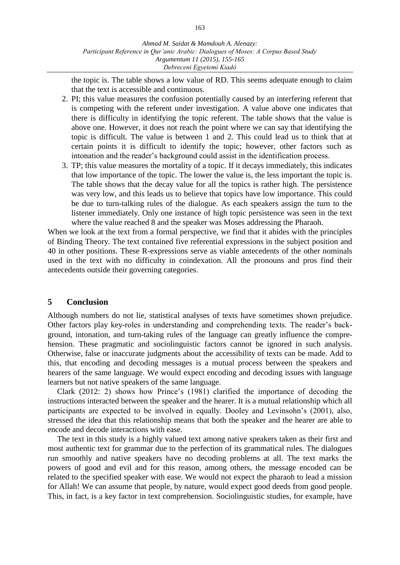the topic is. The table shows a low value of RD. This seems adequate enough to claim that the text is accessible and continuous.

- 2. PI; this value measures the confusion potentially caused by an interfering referent that is competing with the referent under investigation. A value above one indicates that there is difficulty in identifying the topic referent. The table shows that the value is above one. However, it does not reach the point where we can say that identifying the topic is difficult. The value is between 1 and 2. This could lead us to think that at certain points it is difficult to identify the topic; however, other factors such as intonation and the reader's background could assist in the identification process.
- 3. TP; this value measures the mortality of a topic. If it decays immediately, this indicates that low importance of the topic. The lower the value is, the less important the topic is. The table shows that the decay value for all the topics is rather high. The persistence was very low, and this leads us to believe that topics have low importance. This could be due to turn-talking rules of the dialogue. As each speakers assign the turn to the listener immediately. Only one instance of high topic persistence was seen in the text where the value reached 8 and the speaker was Moses addressing the Pharaoh.

When we look at the text from a formal perspective, we find that it abides with the principles of Binding Theory. The text contained five referential expressions in the subject position and 40 in other positions. These R-expressions serve as viable antecedents of the other nominals used in the text with no difficulty in coindexation. All the pronouns and pros find their antecedents outside their governing categories.

## **5 Conclusion**

Although numbers do not lie, statistical analyses of texts have sometimes shown prejudice. Other factors play key-roles in understanding and comprehending texts. The reader's background, intonation, and turn-taking rules of the language can greatly influence the comprehension. These pragmatic and sociolinguistic factors cannot be ignored in such analysis. Otherwise, false or inaccurate judgments about the accessibility of texts can be made. Add to this, that encoding and decoding messages is a mutual process between the speakers and hearers of the same language. We would expect encoding and decoding issues with language learners but not native speakers of the same language.

Clark (2012: 2) shows how Prince's (1981) clarified the importance of decoding the instructions interacted between the speaker and the hearer. It is a mutual relationship which all participants are expected to be involved in equally. Dooley and Levinsohn's (2001), also, stressed the idea that this relationship means that both the speaker and the hearer are able to encode and decode interactions with ease.

The text in this study is a highly valued text among native speakers taken as their first and most authentic text for grammar due to the perfection of its grammatical rules. The dialogues run smoothly and native speakers have no decoding problems at all. The text marks the powers of good and evil and for this reason, among others, the message encoded can be related to the specified speaker with ease. We would not expect the pharaoh to lead a mission for Allah! We can assume that people, by nature, would expect good deeds from good people. This, in fact, is a key factor in text comprehension. Sociolinguistic studies, for example, have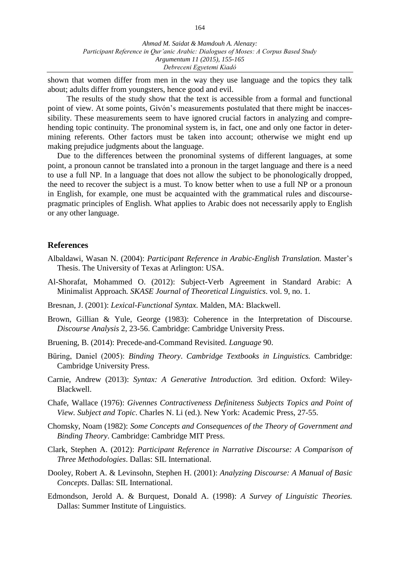shown that women differ from men in the way they use language and the topics they talk about; adults differ from youngsters, hence good and evil.

The results of the study show that the text is accessible from a formal and functional point of view. At some points, Givόn's measurements postulated that there might be inaccessibility. These measurements seem to have ignored crucial factors in analyzing and comprehending topic continuity. The pronominal system is, in fact, one and only one factor in determining referents. Other factors must be taken into account; otherwise we might end up making prejudice judgments about the language.

Due to the differences between the pronominal systems of different languages, at some point, a pronoun cannot be translated into a pronoun in the target language and there is a need to use a full NP. In a language that does not allow the subject to be phonologically dropped, the need to recover the subject is a must. To know better when to use a full NP or a pronoun in English, for example, one must be acquainted with the grammatical rules and discoursepragmatic principles of English. What applies to Arabic does not necessarily apply to English or any other language.

### **References**

- Albaldawi, Wasan N. (2004): *Participant Reference in Arabic-English Translation.* Master's Thesis. The University of Texas at Arlington: USA.
- Al-Shorafat, Mohammed O. (2012): Subject-Verb Agreement in Standard Arabic: A Minimalist Approach*. SKASE Journal of Theoretical Linguistics*. vol. 9, no. 1.
- Bresnan, J. (2001): *Lexical-Functional Syntax*. Malden, MA: Blackwell.
- Brown, Gillian & Yule, George (1983): Coherence in the Interpretation of Discourse. *Discourse Analysis* 2, 23-56. Cambridge: Cambridge University Press.
- Bruening, B. (2014): Precede-and-Command Revisited. *Language* 90.
- Büring, Daniel (2005): *Binding Theory*. *Cambridge Textbooks in Linguistics.* Cambridge: Cambridge University Press.
- Carnie, Andrew (2013): *Syntax: A Generative Introduction.* 3rd edition. Oxford: Wiley-Blackwell.
- Chafe, Wallace (1976): *Givennes Contractiveness Definiteness Subjects Topics and Point of View. Subject and Topic*. Charles N. Li (ed.). New York: Academic Press, 27-55.
- Chomsky, Noam (1982): *Some Concepts and Consequences of the Theory of Government and Binding Theory*. Cambridge: Cambridge MIT Press.
- Clark, Stephen A. (2012): *Participant Reference in Narrative Discourse: A Comparison of Three Methodologies*. Dallas: SIL International.
- Dooley, Robert A. & Levinsohn, Stephen H. (2001): *Analyzing Discourse: A Manual of Basic Concepts*. Dallas: SIL International.
- Edmondson, Jerold A. & Burquest, Donald A. (1998): *A Survey of Linguistic Theories.*  Dallas: Summer Institute of Linguistics.